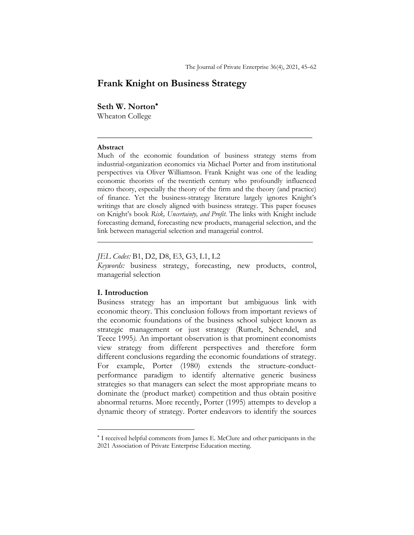# **Frank Knight on Business Strategy**

## **Seth W. Norton**\*

Wheaton College

### **Abstract**

Much of the economic foundation of business strategy stems from industrial-organization economics via Michael Porter and from institutional perspectives via Oliver Williamson. Frank Knight was one of the leading economic theorists of the twentieth century who profoundly influenced micro theory, especially the theory of the firm and the theory (and practice) of finance. Yet the business-strategy literature largely ignores Knight's writings that are closely aligned with business strategy. This paper focuses on Knight's book *Risk, Uncertainty, and Profit*. The links with Knight include forecasting demand, forecasting new products, managerial selection, and the link between managerial selection and managerial control.

\_\_\_\_\_\_\_\_\_\_\_\_\_\_\_\_\_\_\_\_\_\_\_\_\_\_\_\_\_\_\_\_\_\_\_\_\_\_\_\_\_\_\_\_\_\_\_\_\_\_\_\_\_

*JEL Codes:* B1, D2, D8, E3, G3, L1, L2

*Keywords:* business strategy, forecasting, new products, control, managerial selection

\_\_\_\_\_\_\_\_\_\_\_\_\_\_\_\_\_\_\_\_\_\_\_\_\_\_\_\_\_\_\_\_\_\_\_\_\_\_\_\_\_\_\_\_\_\_\_\_\_\_\_\_\_\_\_\_\_\_

## **I. Introduction**

Business strategy has an important but ambiguous link with economic theory. This conclusion follows from important reviews of the economic foundations of the business school subject known as strategic management or just strategy (Rumelt, Schendel, and Teece 1995*).* An important observation is that prominent economists view strategy from different perspectives and therefore form different conclusions regarding the economic foundations of strategy. For example, Porter (1980) extends the structure-conductperformance paradigm to identify alternative generic business strategies so that managers can select the most appropriate means to dominate the (product market) competition and thus obtain positive abnormal returns. More recently, Porter (1995) attempts to develop a dynamic theory of strategy. Porter endeavors to identify the sources

<sup>\*</sup> I received helpful comments from James E. McClure and other participants in the 2021 Association of Private Enterprise Education meeting.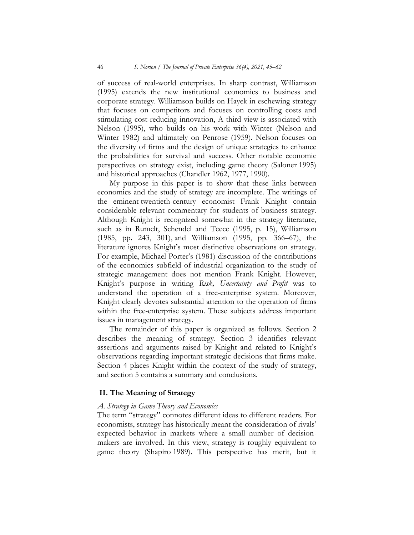of success of real-world enterprises. In sharp contrast, Williamson (1995) extends the new institutional economics to business and corporate strategy. Williamson builds on Hayek in eschewing strategy that focuses on competitors and focuses on controlling costs and stimulating cost-reducing innovation, A third view is associated with Nelson (1995), who builds on his work with Winter (Nelson and Winter 1982) and ultimately on Penrose (1959). Nelson focuses on the diversity of firms and the design of unique strategies to enhance the probabilities for survival and success. Other notable economic perspectives on strategy exist, including game theory (Saloner 1995) and historical approaches (Chandler 1962, 1977, 1990).

My purpose in this paper is to show that these links between economics and the study of strategy are incomplete. The writings of the eminent twentieth-century economist Frank Knight contain considerable relevant commentary for students of business strategy. Although Knight is recognized somewhat in the strategy literature, such as in Rumelt, Schendel and Teece (1995, p. 15), Williamson (1985, pp. 243, 301), and Williamson (1995, pp. 366–67), the literature ignores Knight's most distinctive observations on strategy. For example, Michael Porter's (1981) discussion of the contributions of the economics subfield of industrial organization to the study of strategic management does not mention Frank Knight. However, Knight's purpose in writing *Risk, Uncertainty and Profit* was to understand the operation of a free-enterprise system. Moreover, Knight clearly devotes substantial attention to the operation of firms within the free-enterprise system. These subjects address important issues in management strategy.

The remainder of this paper is organized as follows. Section 2 describes the meaning of strategy. Section 3 identifies relevant assertions and arguments raised by Knight and related to Knight's observations regarding important strategic decisions that firms make. Section 4 places Knight within the context of the study of strategy, and section 5 contains a summary and conclusions.

## **II. The Meaning of Strategy**

## *A. Strategy in Game Theory and Economics*

The term "strategy" connotes different ideas to different readers. For economists, strategy has historically meant the consideration of rivals' expected behavior in markets where a small number of decisionmakers are involved. In this view, strategy is roughly equivalent to game theory (Shapiro 1989). This perspective has merit, but it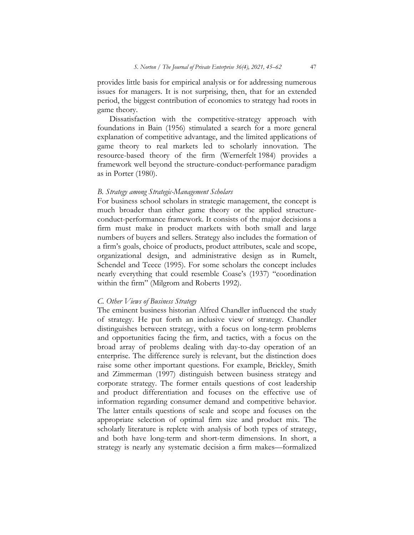provides little basis for empirical analysis or for addressing numerous issues for managers. It is not surprising, then, that for an extended period, the biggest contribution of economics to strategy had roots in game theory.

Dissatisfaction with the competitive-strategy approach with foundations in Bain (1956) stimulated a search for a more general explanation of competitive advantage, and the limited applications of game theory to real markets led to scholarly innovation. The resource-based theory of the firm (Wernerfelt 1984) provides a framework well beyond the structure-conduct-performance paradigm as in Porter (1980).

#### *B. Strategy among Strategic-Management Scholars*

For business school scholars in strategic management, the concept is much broader than either game theory or the applied structureconduct-performance framework. It consists of the major decisions a firm must make in product markets with both small and large numbers of buyers and sellers. Strategy also includes the formation of a firm's goals, choice of products, product attributes, scale and scope, organizational design, and administrative design as in Rumelt, Schendel and Teece (1995). For some scholars the concept includes nearly everything that could resemble Coase's (1937) "coordination within the firm" (Milgrom and Roberts 1992).

#### *C. Other Views of Business Strategy*

The eminent business historian Alfred Chandler influenced the study of strategy. He put forth an inclusive view of strategy. Chandler distinguishes between strategy, with a focus on long-term problems and opportunities facing the firm, and tactics, with a focus on the broad array of problems dealing with day-to-day operation of an enterprise. The difference surely is relevant, but the distinction does raise some other important questions. For example, Brickley, Smith and Zimmerman (1997) distinguish between business strategy and corporate strategy. The former entails questions of cost leadership and product differentiation and focuses on the effective use of information regarding consumer demand and competitive behavior. The latter entails questions of scale and scope and focuses on the appropriate selection of optimal firm size and product mix. The scholarly literature is replete with analysis of both types of strategy, and both have long-term and short-term dimensions. In short, a strategy is nearly any systematic decision a firm makes—formalized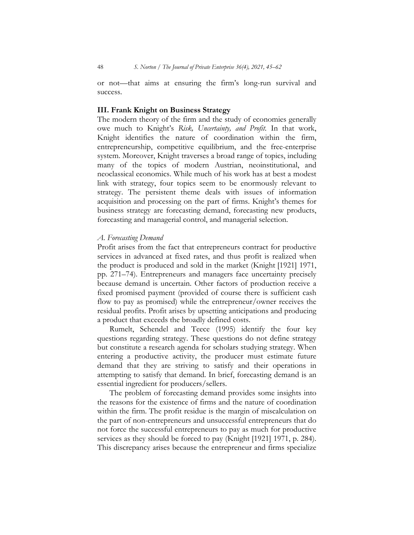or not—that aims at ensuring the firm's long-run survival and success.

### **III. Frank Knight on Business Strategy**

The modern theory of the firm and the study of economies generally owe much to Knight's *Risk, Uncertainty, and Profit.* In that work, Knight identifies the nature of coordination within the firm, entrepreneurship, competitive equilibrium, and the free-enterprise system. Moreover, Knight traverses a broad range of topics, including many of the topics of modern Austrian, neoinstitutional, and neoclassical economics. While much of his work has at best a modest link with strategy, four topics seem to be enormously relevant to strategy. The persistent theme deals with issues of information acquisition and processing on the part of firms. Knight's themes for business strategy are forecasting demand, forecasting new products, forecasting and managerial control, and managerial selection.

#### *A. Forecasting Demand*

Profit arises from the fact that entrepreneurs contract for productive services in advanced at fixed rates, and thus profit is realized when the product is produced and sold in the market (Knight [1921] 1971, pp. 271–74). Entrepreneurs and managers face uncertainty precisely because demand is uncertain. Other factors of production receive a fixed promised payment (provided of course there is sufficient cash flow to pay as promised) while the entrepreneur/owner receives the residual profits. Profit arises by upsetting anticipations and producing a product that exceeds the broadly defined costs.

Rumelt, Schendel and Teece (1995) identify the four key questions regarding strategy. These questions do not define strategy but constitute a research agenda for scholars studying strategy. When entering a productive activity, the producer must estimate future demand that they are striving to satisfy and their operations in attempting to satisfy that demand. In brief, forecasting demand is an essential ingredient for producers/sellers.

The problem of forecasting demand provides some insights into the reasons for the existence of firms and the nature of coordination within the firm. The profit residue is the margin of miscalculation on the part of non-entrepreneurs and unsuccessful entrepreneurs that do not force the successful entrepreneurs to pay as much for productive services as they should be forced to pay (Knight [1921] 1971, p. 284). This discrepancy arises because the entrepreneur and firms specialize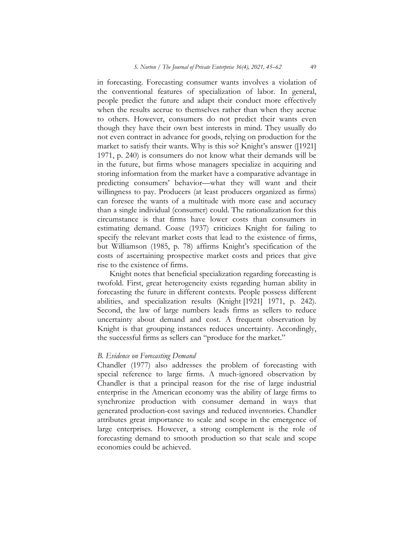in forecasting. Forecasting consumer wants involves a violation of the conventional features of specialization of labor. In general, people predict the future and adapt their conduct more effectively when the results accrue to themselves rather than when they accrue to others. However, consumers do not predict their wants even though they have their own best interests in mind. They usually do not even contract in advance for goods, relying on production for the market to satisfy their wants. Why is this so? Knight's answer ([1921] 1971, p. 240) is consumers do not know what their demands will be in the future, but firms whose managers specialize in acquiring and storing information from the market have a comparative advantage in predicting consumers' behavior—what they will want and their willingness to pay. Producers (at least producers organized as firms) can foresee the wants of a multitude with more ease and accuracy than a single individual (consumer) could. The rationalization for this circumstance is that firms have lower costs than consumers in estimating demand. Coase (1937) criticizes Knight for failing to specify the relevant market costs that lead to the existence of firms, but Williamson (1985, p. 78) affirms Knight's specification of the costs of ascertaining prospective market costs and prices that give rise to the existence of firms.

Knight notes that beneficial specialization regarding forecasting is twofold. First, great heterogeneity exists regarding human ability in forecasting the future in different contexts. People possess different abilities, and specialization results (Knight [1921] 1971, p. 242). Second, the law of large numbers leads firms as sellers to reduce uncertainty about demand and cost. A frequent observation by Knight is that grouping instances reduces uncertainty. Accordingly, the successful firms as sellers can "produce for the market."

#### *B. Evidence on Forecasting Demand*

Chandler (1977) also addresses the problem of forecasting with special reference to large firms. A much-ignored observation by Chandler is that a principal reason for the rise of large industrial enterprise in the American economy was the ability of large firms to synchronize production with consumer demand in ways that generated production-cost savings and reduced inventories. Chandler attributes great importance to scale and scope in the emergence of large enterprises. However, a strong complement is the role of forecasting demand to smooth production so that scale and scope economies could be achieved.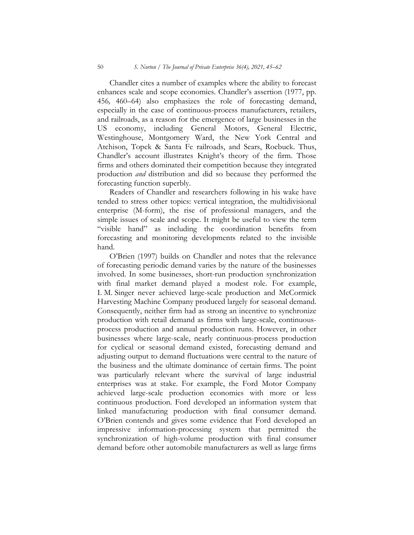Chandler cites a number of examples where the ability to forecast enhances scale and scope economies. Chandler's assertion (1977, pp. 456*,* 460–64) also emphasizes the role of forecasting demand, especially in the case of continuous-process manufacturers, retailers, and railroads, as a reason for the emergence of large businesses in the US economy, including General Motors, General Electric, Westinghouse, Montgomery Ward, the New York Central and Atchison, Topek & Santa Fe railroads, and Sears, Roebuck. Thus, Chandler's account illustrates Knight's theory of the firm. Those firms and others dominated their competition because they integrated production *and* distribution and did so because they performed the forecasting function superbly.

Readers of Chandler and researchers following in his wake have tended to stress other topics: vertical integration, the multidivisional enterprise (M-form), the rise of professional managers, and the simple issues of scale and scope. It might be useful to view the term "visible hand" as including the coordination benefits from forecasting and monitoring developments related to the invisible hand.

O'Brien (1997) builds on Chandler and notes that the relevance of forecasting periodic demand varies by the nature of the businesses involved. In some businesses, short-run production synchronization with final market demand played a modest role. For example, I. M. Singer never achieved large-scale production and McCormick Harvesting Machine Company produced largely for seasonal demand. Consequently, neither firm had as strong an incentive to synchronize production with retail demand as firms with large-scale, continuousprocess production and annual production runs. However, in other businesses where large-scale, nearly continuous-process production for cyclical or seasonal demand existed, forecasting demand and adjusting output to demand fluctuations were central to the nature of the business and the ultimate dominance of certain firms. The point was particularly relevant where the survival of large industrial enterprises was at stake. For example, the Ford Motor Company achieved large-scale production economies with more or less continuous production. Ford developed an information system that linked manufacturing production with final consumer demand. O'Brien contends and gives some evidence that Ford developed an impressive information-processing system that permitted the synchronization of high-volume production with final consumer demand before other automobile manufacturers as well as large firms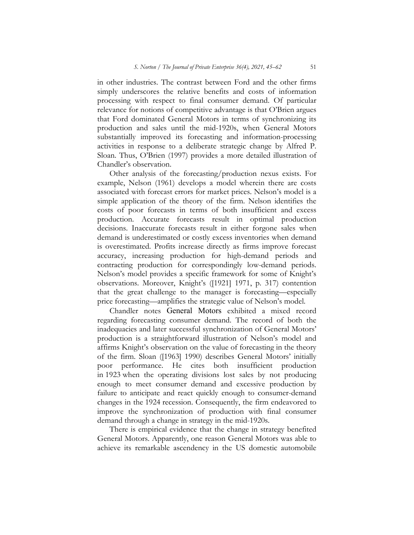in other industries. The contrast between Ford and the other firms simply underscores the relative benefits and costs of information processing with respect to final consumer demand. Of particular relevance for notions of competitive advantage is that O'Brien argues that Ford dominated General Motors in terms of synchronizing its production and sales until the mid-1920s, when General Motors substantially improved its forecasting and information-processing activities in response to a deliberate strategic change by Alfred P. Sloan. Thus, O'Brien (1997) provides a more detailed illustration of Chandler's observation.

Other analysis of the forecasting/production nexus exists. For example, Nelson (1961) develops a model wherein there are costs associated with forecast errors for market prices. Nelson's model is a simple application of the theory of the firm. Nelson identifies the costs of poor forecasts in terms of both insufficient and excess production. Accurate forecasts result in optimal production decisions. Inaccurate forecasts result in either forgone sales when demand is underestimated or costly excess inventories when demand is overestimated. Profits increase directly as firms improve forecast accuracy, increasing production for high-demand periods and contracting production for correspondingly low-demand periods. Nelson's model provides a specific framework for some of Knight's observations. Moreover, Knight's ([1921] 1971, p. 317) contention that the great challenge to the manager is forecasting—especially price forecasting—amplifies the strategic value of Nelson's model.

Chandler notes General Motors exhibited a mixed record regarding forecasting consumer demand. The record of both the inadequacies and later successful synchronization of General Motors' production is a straightforward illustration of Nelson's model and affirms Knight's observation on the value of forecasting in the theory of the firm. Sloan ([1963] 1990) describes General Motors' initially poor performance. He cites both insufficient production in 1923 when the operating divisions lost sales by not producing enough to meet consumer demand and excessive production by failure to anticipate and react quickly enough to consumer-demand changes in the 1924 recession. Consequently, the firm endeavored to improve the synchronization of production with final consumer demand through a change in strategy in the mid-1920s.

There is empirical evidence that the change in strategy benefited General Motors. Apparently, one reason General Motors was able to achieve its remarkable ascendency in the US domestic automobile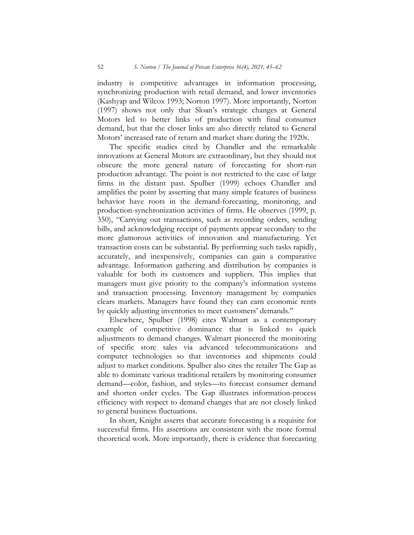industry is competitive advantages in information processing, synchronizing production with retail demand, and lower inventories (Kashyap and Wilcox 1993; Norton 1997). More importantly, Norton (1997) shows not only that Sloan's strategic changes at General Motors led to better links of production with final consumer demand, but that the closer links are also directly related to General Motors' increased rate of return and market share during the 1920s.

The specific studies cited by Chandler and the remarkable innovations at General Motors are extraordinary, but they should not obscure the more general nature of forecasting for short-run production advantage. The point is not restricted to the case of large firms in the distant past. Spulber (1999) echoes Chandler and amplifies the point by asserting that many simple features of business behavior have roots in the demand-forecasting, monitoring, and production-synchronization activities of firms. He observes (1999, p. 350), "Carrying out transactions, such as recording orders, sending bills, and acknowledging receipt of payments appear secondary to the more glamorous activities of innovation and manufacturing. Yet transaction costs can be substantial. By performing such tasks rapidly, accurately, and inexpensively, companies can gain a comparative advantage. Information gathering and distribution by companies is valuable for both its customers and suppliers. This implies that managers must give priority to the company's information systems and transaction processing. Inventory management by companies clears markets. Managers have found they can earn economic rents by quickly adjusting inventories to meet customers' demands."

Elsewhere, Spulber (1998) cites Walmart as a contemporary example of competitive dominance that is linked to quick adjustments to demand changes. Walmart pioneered the monitoring of specific store sales via advanced telecommunications and computer technologies so that inventories and shipments could adjust to market conditions. Spulber also cites the retailer The Gap as able to dominate various traditional retailers by monitoring consumer demand—color, fashion, and styles—to forecast consumer demand and shorten order cycles. The Gap illustrates information-process efficiency with respect to demand changes that are not closely linked to general business fluctuations.

In short, Knight asserts that accurate forecasting is a requisite for successful firms*.* His assertions are consistent with the more formal theoretical work. More importantly, there is evidence that forecasting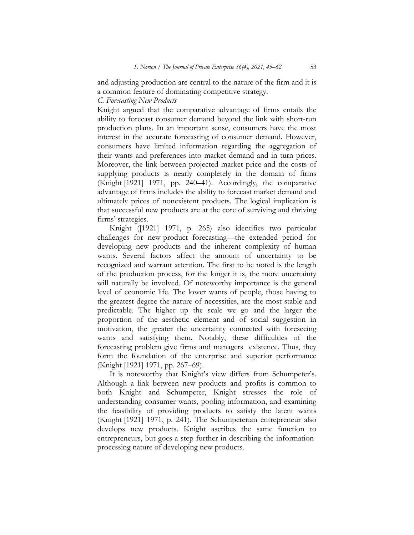and adjusting production are central to the nature of the firm and it is a common feature of dominating competitive strategy.

*C. Forecasting New Products*

Knight argued that the comparative advantage of firms entails the ability to forecast consumer demand beyond the link with short-run production plans. In an important sense, consumers have the most interest in the accurate forecasting of consumer demand. However, consumers have limited information regarding the aggregation of their wants and preferences into market demand and in turn prices. Moreover, the link between projected market price and the costs of supplying products is nearly completely in the domain of firms (Knight [1921] 1971, pp. 240–41). Accordingly, the comparative advantage of firms includes the ability to forecast market demand and ultimately prices of nonexistent products. The logical implication is that successful new products are at the core of surviving and thriving firms' strategies.

Knight ([1921] 1971, p. 265) also identifies two particular challenges for new-product forecasting—the extended period for developing new products and the inherent complexity of human wants. Several factors affect the amount of uncertainty to be recognized and warrant attention. The first to be noted is the length of the production process, for the longer it is, the more uncertainty will naturally be involved. Of noteworthy importance is the general level of economic life. The lower wants of people, those having to the greatest degree the nature of necessities, are the most stable and predictable. The higher up the scale we go and the larger the proportion of the aesthetic element and of social suggestion in motivation, the greater the uncertainty connected with foreseeing wants and satisfying them. Notably, these difficulties of the forecasting problem give firms and managers existence. Thus, they form the foundation of the enterprise and superior performance (Knight [1921] 1971, pp. 267–69).

It is noteworthy that Knight's view differs from Schumpeter's. Although a link between new products and profits is common to both Knight and Schumpeter, Knight stresses the role of understanding consumer wants, pooling information, and examining the feasibility of providing products to satisfy the latent wants (Knight [1921] 1971, p. 241). The Schumpeterian entrepreneur also develops new products. Knight ascribes the same function to entrepreneurs, but goes a step further in describing the informationprocessing nature of developing new products.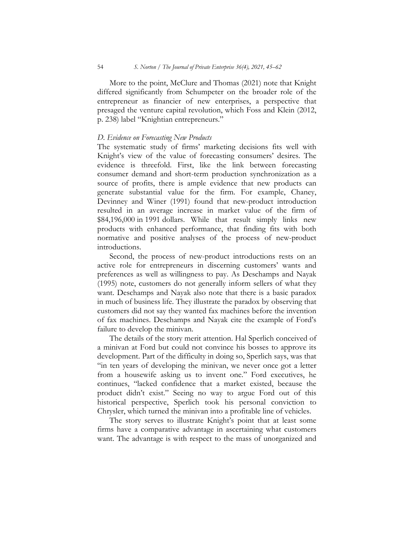More to the point, McClure and Thomas (2021) note that Knight differed significantly from Schumpeter on the broader role of the entrepreneur as financier of new enterprises, a perspective that presaged the venture capital revolution, which Foss and Klein (2012, p. 238) label "Knightian entrepreneurs."

#### *D. Evidence on Forecasting New Products*

The systematic study of firms' marketing decisions fits well with Knight's view of the value of forecasting consumers' desires. The evidence is threefold. First, like the link between forecasting consumer demand and short-term production synchronization as a source of profits, there is ample evidence that new products can generate substantial value for the firm. For example, Chaney, Devinney and Winer (1991) found that new-product introduction resulted in an average increase in market value of the firm of \$84,196,000 in 1991 dollars. While that result simply links new products with enhanced performance, that finding fits with both normative and positive analyses of the process of new-product introductions.

Second, the process of new-product introductions rests on an active role for entrepreneurs in discerning customers' wants and preferences as well as willingness to pay. As Deschamps and Nayak (1995) note, customers do not generally inform sellers of what they want. Deschamps and Nayak also note that there is a basic paradox in much of business life. They illustrate the paradox by observing that customers did not say they wanted fax machines before the invention of fax machines. Deschamps and Nayak cite the example of Ford's failure to develop the minivan.

The details of the story merit attention. Hal Sperlich conceived of a minivan at Ford but could not convince his bosses to approve its development. Part of the difficulty in doing so, Sperlich says, was that "in ten years of developing the minivan, we never once got a letter from a housewife asking us to invent one." Ford executives, he continues, "lacked confidence that a market existed, because the product didn't exist." Seeing no way to argue Ford out of this historical perspective, Sperlich took his personal conviction to Chrysler, which turned the minivan into a profitable line of vehicles.

The story serves to illustrate Knight's point that at least some firms have a comparative advantage in ascertaining what customers want. The advantage is with respect to the mass of unorganized and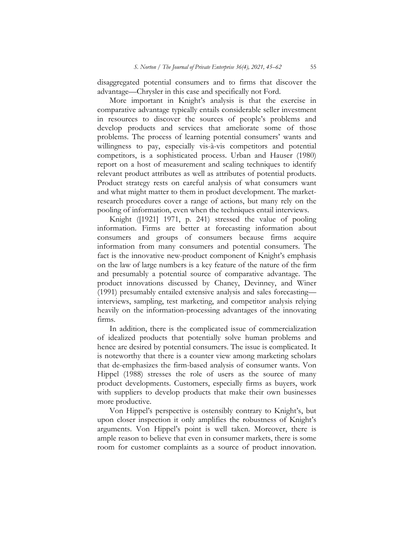disaggregated potential consumers and to firms that discover the advantage—Chrysler in this case and specifically not Ford.

More important in Knight's analysis is that the exercise in comparative advantage typically entails considerable seller investment in resources to discover the sources of people's problems and develop products and services that ameliorate some of those problems. The process of learning potential consumers' wants and willingness to pay, especially vis-à-vis competitors and potential competitors, is a sophisticated process. Urban and Hauser (1980) report on a host of measurement and scaling techniques to identify relevant product attributes as well as attributes of potential products. Product strategy rests on careful analysis of what consumers want and what might matter to them in product development. The marketresearch procedures cover a range of actions, but many rely on the pooling of information, even when the techniques entail interviews.

Knight ([1921] 1971, p. 241) stressed the value of pooling information. Firms are better at forecasting information about consumers and groups of consumers because firms acquire information from many consumers and potential consumers. The fact is the innovative new-product component of Knight's emphasis on the law of large numbers is a key feature of the nature of the firm and presumably a potential source of comparative advantage. The product innovations discussed by Chaney, Devinney, and Winer (1991) presumably entailed extensive analysis and sales forecasting interviews, sampling, test marketing, and competitor analysis relying heavily on the information-processing advantages of the innovating firms.

In addition, there is the complicated issue of commercialization of idealized products that potentially solve human problems and hence are desired by potential consumers. The issue is complicated. It is noteworthy that there is a counter view among marketing scholars that de-emphasizes the firm-based analysis of consumer wants. Von Hippel (1988) stresses the role of users as the source of many product developments. Customers, especially firms as buyers, work with suppliers to develop products that make their own businesses more productive.

Von Hippel's perspective is ostensibly contrary to Knight's, but upon closer inspection it only amplifies the robustness of Knight's arguments. Von Hippel's point is well taken. Moreover, there is ample reason to believe that even in consumer markets, there is some room for customer complaints as a source of product innovation.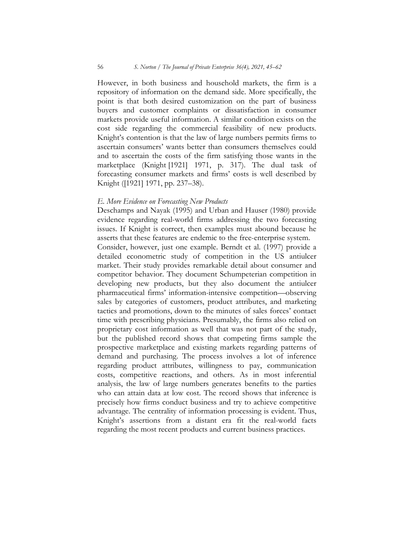However, in both business and household markets, the firm is a repository of information on the demand side. More specifically, the point is that both desired customization on the part of business buyers and customer complaints or dissatisfaction in consumer markets provide useful information. A similar condition exists on the cost side regarding the commercial feasibility of new products. Knight's contention is that the law of large numbers permits firms to ascertain consumers' wants better than consumers themselves could and to ascertain the costs of the firm satisfying those wants in the marketplace (Knight [1921] 1971, p. 317). The dual task of forecasting consumer markets and firms' costs is well described by Knight ([1921] 1971, pp. 237–38).

#### *E. More Evidence on Forecasting New Products*

Deschamps and Nayak (1995) and Urban and Hauser (1980) provide evidence regarding real-world firms addressing the two forecasting issues. If Knight is correct, then examples must abound because he asserts that these features are endemic to the free-enterprise system.

Consider, however, just one example. Berndt et al. (1997) provide a detailed econometric study of competition in the US antiulcer market. Their study provides remarkable detail about consumer and competitor behavior. They document Schumpeterian competition in developing new products, but they also document the antiulcer pharmaceutical firms' information-intensive competition—observing sales by categories of customers, product attributes, and marketing tactics and promotions, down to the minutes of sales forces' contact time with prescribing physicians. Presumably, the firms also relied on proprietary cost information as well that was not part of the study, but the published record shows that competing firms sample the prospective marketplace and existing markets regarding patterns of demand and purchasing. The process involves a lot of inference regarding product attributes, willingness to pay, communication costs, competitive reactions, and others. As in most inferential analysis, the law of large numbers generates benefits to the parties who can attain data at low cost. The record shows that inference is precisely how firms conduct business and try to achieve competitive advantage. The centrality of information processing is evident. Thus, Knight's assertions from a distant era fit the real-world facts regarding the most recent products and current business practices.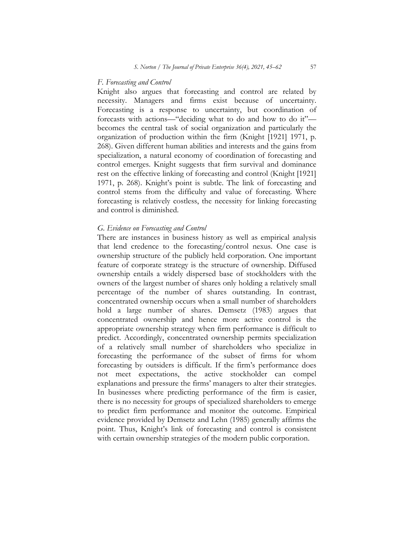#### *F. Forecasting and Control*

Knight also argues that forecasting and control are related by necessity. Managers and firms exist because of uncertainty. Forecasting is a response to uncertainty, but coordination of forecasts with actions—"deciding what to do and how to do it" becomes the central task of social organization and particularly the organization of production within the firm (Knight [1921] 1971, p. 268). Given different human abilities and interests and the gains from specialization, a natural economy of coordination of forecasting and control emerges. Knight suggests that firm survival and dominance rest on the effective linking of forecasting and control (Knight [1921] 1971, p. 268). Knight's point is subtle. The link of forecasting and control stems from the difficulty and value of forecasting. Where forecasting is relatively costless, the necessity for linking forecasting and control is diminished.

#### *G. Evidence on Forecasting and Control*

There are instances in business history as well as empirical analysis that lend credence to the forecasting/control nexus. One case is ownership structure of the publicly held corporation. One important feature of corporate strategy is the structure of ownership. Diffused ownership entails a widely dispersed base of stockholders with the owners of the largest number of shares only holding a relatively small percentage of the number of shares outstanding. In contrast, concentrated ownership occurs when a small number of shareholders hold a large number of shares. Demsetz (1983) argues that concentrated ownership and hence more active control is the appropriate ownership strategy when firm performance is difficult to predict. Accordingly, concentrated ownership permits specialization of a relatively small number of shareholders who specialize in forecasting the performance of the subset of firms for whom forecasting by outsiders is difficult. If the firm's performance does not meet expectations, the active stockholder can compel explanations and pressure the firms' managers to alter their strategies. In businesses where predicting performance of the firm is easier, there is no necessity for groups of specialized shareholders to emerge to predict firm performance and monitor the outcome. Empirical evidence provided by Demsetz and Lehn (1985) generally affirms the point. Thus, Knight's link of forecasting and control is consistent with certain ownership strategies of the modern public corporation.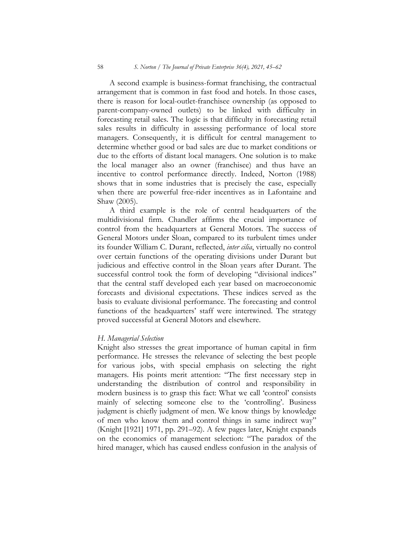A second example is business-format franchising, the contractual arrangement that is common in fast food and hotels. In those cases, there is reason for local-outlet-franchisee ownership (as opposed to parent-company-owned outlets) to be linked with difficulty in forecasting retail sales. The logic is that difficulty in forecasting retail sales results in difficulty in assessing performance of local store managers. Consequently, it is difficult for central management to determine whether good or bad sales are due to market conditions or due to the efforts of distant local managers. One solution is to make the local manager also an owner (franchisee) and thus have an incentive to control performance directly. Indeed, Norton (1988) shows that in some industries that is precisely the case, especially when there are powerful free-rider incentives as in Lafontaine and Shaw (2005).

A third example is the role of central headquarters of the multidivisional firm. Chandler affirms the crucial importance of control from the headquarters at General Motors. The success of General Motors under Sloan, compared to its turbulent times under its founder William C. Durant, reflected, *inter cilia*, virtually no control over certain functions of the operating divisions under Durant but judicious and effective control in the Sloan years after Durant. The successful control took the form of developing "divisional indices" that the central staff developed each year based on macroeconomic forecasts and divisional expectations. These indices served as the basis to evaluate divisional performance. The forecasting and control functions of the headquarters' staff were intertwined. The strategy proved successful at General Motors and elsewhere.

### *H. Managerial Selection*

Knight also stresses the great importance of human capital in firm performance. He stresses the relevance of selecting the best people for various jobs, with special emphasis on selecting the right managers. His points merit attention: "The first necessary step in understanding the distribution of control and responsibility in modern business is to grasp this fact: What we call 'control' consists mainly of selecting someone else to the 'controlling'. Business judgment is chiefly judgment of men. We know things by knowledge of men who know them and control things in same indirect way" (Knight [1921] 1971, pp. 291–92). A few pages later, Knight expands on the economics of management selection: "The paradox of the hired manager, which has caused endless confusion in the analysis of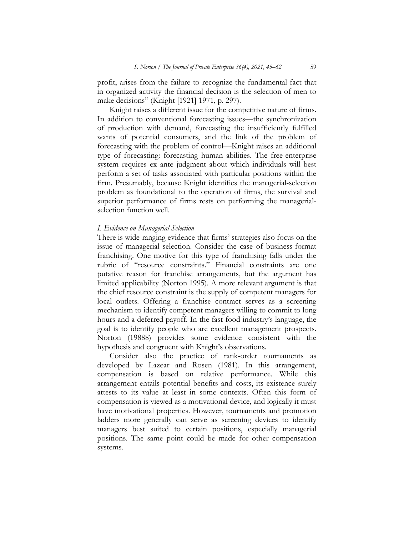profit, arises from the failure to recognize the fundamental fact that in organized activity the financial decision is the selection of men to make decisions" (Knight [1921] 1971, p. 297).

Knight raises a different issue for the competitive nature of firms. In addition to conventional forecasting issues—the synchronization of production with demand, forecasting the insufficiently fulfilled wants of potential consumers, and the link of the problem of forecasting with the problem of control—Knight raises an additional type of forecasting: forecasting human abilities. The free-enterprise system requires ex ante judgment about which individuals will best perform a set of tasks associated with particular positions within the firm. Presumably, because Knight identifies the managerial-selection problem as foundational to the operation of firms, the survival and superior performance of firms rests on performing the managerialselection function well.

#### *I. Evidence on Managerial Selection*

There is wide-ranging evidence that firms' strategies also focus on the issue of managerial selection. Consider the case of business-format franchising. One motive for this type of franchising falls under the rubric of "resource constraints." Financial constraints are one putative reason for franchise arrangements, but the argument has limited applicability (Norton 1995). A more relevant argument is that the chief resource constraint is the supply of competent managers for local outlets. Offering a franchise contract serves as a screening mechanism to identify competent managers willing to commit to long hours and a deferred payoff. In the fast-food industry's language, the goal is to identify people who are excellent management prospects. Norton (19888) provides some evidence consistent with the hypothesis and congruent with Knight's observations.

Consider also the practice of rank-order tournaments as developed by Lazear and Rosen (1981). In this arrangement, compensation is based on relative performance. While this arrangement entails potential benefits and costs, its existence surely attests to its value at least in some contexts. Often this form of compensation is viewed as a motivational device, and logically it must have motivational properties. However, tournaments and promotion ladders more generally can serve as screening devices to identify managers best suited to certain positions, especially managerial positions. The same point could be made for other compensation systems.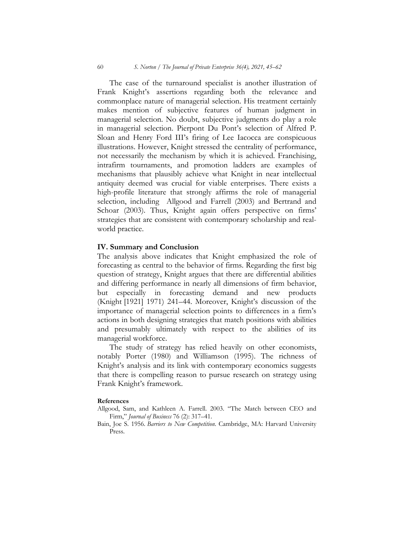The case of the turnaround specialist is another illustration of Frank Knight's assertions regarding both the relevance and commonplace nature of managerial selection. His treatment certainly makes mention of subjective features of human judgment in managerial selection. No doubt, subjective judgments do play a role in managerial selection. Pierpont Du Pont's selection of Alfred P. Sloan and Henry Ford III's firing of Lee Iacocca are conspicuous illustrations. However, Knight stressed the centrality of performance, not necessarily the mechanism by which it is achieved. Franchising, intrafirm tournaments, and promotion ladders are examples of mechanisms that plausibly achieve what Knight in near intellectual antiquity deemed was crucial for viable enterprises. There exists a high-profile literature that strongly affirms the role of managerial selection, including Allgood and Farrell (2003) and Bertrand and Schoar (2003). Thus, Knight again offers perspective on firms' strategies that are consistent with contemporary scholarship and realworld practice.

### **IV. Summary and Conclusion**

The analysis above indicates that Knight emphasized the role of forecasting as central to the behavior of firms. Regarding the first big question of strategy, Knight argues that there are differential abilities and differing performance in nearly all dimensions of firm behavior, but especially in forecasting demand and new products (Knight [1921] 1971) 241–44. Moreover, Knight's discussion of the importance of managerial selection points to differences in a firm's actions in both designing strategies that match positions with abilities and presumably ultimately with respect to the abilities of its managerial workforce.

The study of strategy has relied heavily on other economists, notably Porter (1980) and Williamson (1995). The richness of Knight's analysis and its link with contemporary economics suggests that there is compelling reason to pursue research on strategy using Frank Knight's framework.

#### **References**

- Allgood, Sam, and Kathleen A. Farrell. 2003. "The Match between CEO and Firm," *Journal of Business* 76 (2): 317–41.
- Bain, Joe S. 1956. *Barriers to New Competition*. Cambridge, MA: Harvard University Press.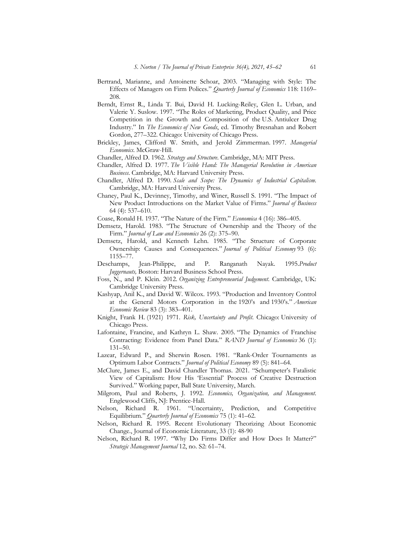- Bertrand, Marianne, and Antoinette Schoar, 2003. "Managing with Style: The Effects of Managers on Firm Polices." *Quarterly Journal of Economics* 118: 1169– 208.
- Berndt, Ernst R., Linda T. Bui, David H. Lucking-Reiley, Glen L. Urban, and Valerie Y. Suslow. 1997. "The Roles of Marketing, Product Quality, and Price Competition in the Growth and Composition of the U.S. Antiulcer Drug Industry." In *The Economics of New Goods*, ed. Timothy Bresnahan and Robert Gordon, 277–322. Chicago: University of Chicago Press.
- Brickley, James, Clifford W. Smith, and Jerold Zimmerman. 1997. *Managerial Economics*. McGraw-Hill.
- Chandler, Alfred D. 1962. *Strategy and Structure*. Cambridge, MA: MIT Press.
- Chandler, Alfred D. 1977. *The Visible Hand: The Managerial Revolution in American Business*. Cambridge, MA: Harvard University Press.
- Chandler, Alfred D. 1990. *Scale and Scope: The Dynamics of Industrial Capitalism*. Cambridge, MA: Harvard University Press.
- Chaney, Paul K., Devinney, Timothy, and Winer, Russell S. 1991. "The Impact of New Product Introductions on the Market Value of Firms." *Journal of Business* 64 (4): 537–610.
- Coase, Ronald H. 1937. "The Nature of the Firm." *Economica* 4 (16): 386–405.
- Demsetz, Harold. 1983. "The Structure of Ownership and the Theory of the Firm." *Journal of Law and Economics* 26 (2): 375–90.
- Demsetz, Harold, and Kenneth Lehn. 1985. "The Structure of Corporate Ownership: Causes and Consequences." *Journal of Political Economy* 93 (6): 1155–77.
- Deschamps, Jean-Philippe, and P. Ranganath Nayak. 1995.*Product Juggernauts,* Boston: Harvard Business School Press.
- Foss, N., and P. Klein. 2012. *Organizing Entrepreneurial Judgement*. Cambridge, UK: Cambridge University Press.
- Kashyap, Anil K., and David W. Wilcox. 1993. "Production and Inventory Control at the General Motors Corporation in the 1920's and 1930's." *American Economic Review* 83 (3): 383–401.
- Knight, Frank H. (1921) 1971. *Risk, Uncertainty and Profit*. Chicago: University of Chicago Press.
- Lafontaine, Francine, and Kathryn L. Shaw. 2005. "The Dynamics of Franchise Contracting: Evidence from Panel Data." *RAND Journal of Economics* 36 (1): 131–50.
- Lazear, Edward P., and Sherwin Rosen. 1981. "Rank-Order Tournaments as Optimum Labor Contracts." *Journal of Political Economy* 89 (5): 841–64.
- McClure, James E., and David Chandler Thomas. 2021. "Schumpeter's Fatalistic View of Capitalism: How His 'Essential' Process of Creative Destruction Survived." Working paper, Ball State University, March.
- Milgrom, Paul and Roberts, J. 1992. *Economics, Organization, and Management*. Englewood Cliffs, NJ: Prentice-Hall.
- Nelson, Richard R. 1961. "Uncertainty, Prediction, and Competitive Equilibrium." *Quarterly Journal of Economics* 75 (1): 41–62.
- Nelson, Richard R. 1995. Recent Evolutionary Theorizing About Economic Change., Journal of Economic Literature, 33 (1): 48-90
- Nelson, Richard R. 1997. "Why Do Firms Differ and How Does It Matter?" *Strategic Management Journal* 12, no. S2: 61–74.